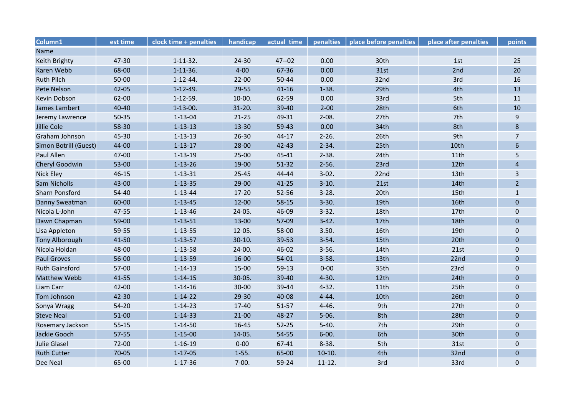| Column1               | est time  | clock time + penalties | handicap   | actual time | penalties   | place before penalties | place after penalties | points         |
|-----------------------|-----------|------------------------|------------|-------------|-------------|------------------------|-----------------------|----------------|
| Name                  |           |                        |            |             |             |                        |                       |                |
| Keith Brighty         | 47-30     | $1 - 11 - 32$ .        | $24 - 30$  | $47 - 02$   | 0.00        | 30th                   | 1st                   | 25             |
| Karen Webb            | 68-00     | $1 - 11 - 36.$         | $4 - 00$   | 67-36       | 0.00        | 31st                   | 2nd                   | 20             |
| <b>Ruth Pilch</b>     | 50-00     | $1 - 12 - 44.$         | $22 - 00$  | 50-44       | 0.00        | 32nd                   | 3rd                   | 16             |
| Pete Nelson           | $42 - 05$ | $1 - 12 - 49.$         | 29-55      | $41 - 16$   | $1 - 38.$   | 29th                   | 4th                   | 13             |
| Kevin Dobson          | 62-00     | $1 - 12 - 59.$         | $10-00.$   | 62-59       | 0.00        | 33rd                   | 5th                   | 11             |
| James Lambert         | 40-40     | $1-13-00.$             | $31 - 20.$ | 39-40       | $2 - 00$    | 28th                   | 6th                   | 10             |
| Jeremy Lawrence       | $50 - 35$ | $1 - 13 - 04$          | $21 - 25$  | 49-31       | $2 - 08.$   | 27th                   | 7th                   | $9\,$          |
| <b>Jillie Cole</b>    | 58-30     | $1 - 13 - 13$          | 13-30      | 59-43       | 0.00        | 34th                   | 8th                   | 8              |
| Graham Johnson        | 45-30     | $1 - 13 - 13$          | $26 - 30$  | 44-17       | $2 - 26.$   | 26th                   | 9th                   | $\overline{7}$ |
| Simon Botrill (Guest) | 44-00     | $1 - 13 - 17$          | $28 - 00$  | $42 - 43$   | $2 - 34.$   | 25th                   | 10th                  | 6              |
| Paul Allen            | 47-00     | $1 - 13 - 19$          | $25-00$    | 45-41       | $2 - 38.$   | 24th                   | 11th                  | 5              |
| <b>Cheryl Goodwin</b> | 53-00     | $1 - 13 - 26$          | 19-00      | $51 - 32$   | $2 - 56.$   | 23rd                   | 12th                  | $\overline{4}$ |
| Nick Eley             | $46 - 15$ | $1 - 13 - 31$          | $25 - 45$  | 44-44       | $3-02.$     | 22nd                   | 13th                  | $\overline{3}$ |
| Sam Nicholls          | 43-00     | $1 - 13 - 35$          | $29 - 00$  | $41 - 25$   | $3-10.$     | 21st                   | 14th                  | $\overline{2}$ |
| <b>Sharn Ponsford</b> | 54-40     | $1 - 13 - 44$          | 17-20      | 52-56       | $3 - 28.$   | 20th                   | 15th                  | $1\,$          |
| Danny Sweatman        | 60-00     | $1 - 13 - 45$          | $12 - 00$  | $58 - 15$   | $3 - 30.$   | 19th                   | 16th                  | $\mathbf 0$    |
| Nicola L-John         | 47-55     | $1 - 13 - 46$          | 24-05.     | 46-09       | $3 - 32$ .  | 18th                   | 17th                  | $\pmb{0}$      |
| Dawn Chapman          | 59-00     | $1 - 13 - 51$          | 13-00      | 57-09       | $3-42.$     | 17th                   | 18th                  | $\mathbf{0}$   |
| Lisa Appleton         | 59-55     | $1 - 13 - 55$          | $12 - 05.$ | 58-00       | 3.50.       | 16th                   | 19th                  | $\pmb{0}$      |
| <b>Tony Alborough</b> | 41-50     | $1 - 13 - 57$          | $30-10.$   | 39-53       | $3 - 54.$   | 15th                   | 20th                  | $\mathbf{0}$   |
| Nicola Holdan         | 48-00     | $1 - 13 - 58$          | 24-00.     | 46-02       | $3 - 56.$   | 14th                   | 21st                  | $\mathbf 0$    |
| <b>Paul Groves</b>    | 56-00     | $1 - 13 - 59$          | $16 - 00$  | $54-01$     | $3 - 58.$   | 13th                   | 22nd                  | $\Omega$       |
| <b>Ruth Gainsford</b> | 57-00     | $1 - 14 - 13$          | 15-00      | $59-13$     | $0 - 00$    | 35th                   | 23rd                  | $\pmb{0}$      |
| Matthew Webb          | 41-55     | $1 - 14 - 15$          | 30-05.     | 39-40       | $4 - 30.$   | 12th                   | 24th                  | $\mathbf{0}$   |
| Liam Carr             | 42-00     | $1 - 14 - 16$          | $30 - 00$  | 39-44       | $4 - 32.$   | 11th                   | 25th                  | $\mathbf 0$    |
| Tom Johnson           | 42-30     | $1 - 14 - 22$          | $29 - 30$  | 40-08       | $4 - 44.$   | 10th                   | 26th                  | $\pmb{0}$      |
| Sonya Wragg           | $54-20$   | $1 - 14 - 23$          | 17-40      | 51-57       | $4 - 46.$   | 9th                    | 27th                  | $\mathbf 0$    |
| <b>Steve Neal</b>     | $51 - 00$ | $1 - 14 - 33$          | $21 - 00$  | 48-27       | $5 - 06.$   | 8th                    | 28th                  | $\mathbf{0}$   |
| Rosemary Jackson      | $55 - 15$ | $1 - 14 - 50$          | 16-45      | $52 - 25$   | $5 - 40.$   | 7th                    | 29th                  | $\mathbf 0$    |
| Jackie Gooch          | $57 - 55$ | $1 - 15 - 00$          | 14-05.     | 54-55       | $6 - 00.$   | 6th                    | 30th                  | $\pmb{0}$      |
| <b>Julie Glasel</b>   | 72-00     | $1 - 16 - 19$          | $0 - 00$   | 67-41       | $8 - 38.$   | 5th                    | 31st                  | $\pmb{0}$      |
| <b>Ruth Cutter</b>    | $70 - 05$ | $1 - 17 - 05$          | $1-55.$    | 65-00       | $10-10.$    | 4th                    | 32nd                  | $\mathbf{0}$   |
| Dee Neal              | 65-00     | $1 - 17 - 36$          | $7 - 00.$  | 59-24       | $11 - 12$ . | 3rd                    | 33rd                  | $\mathbf 0$    |